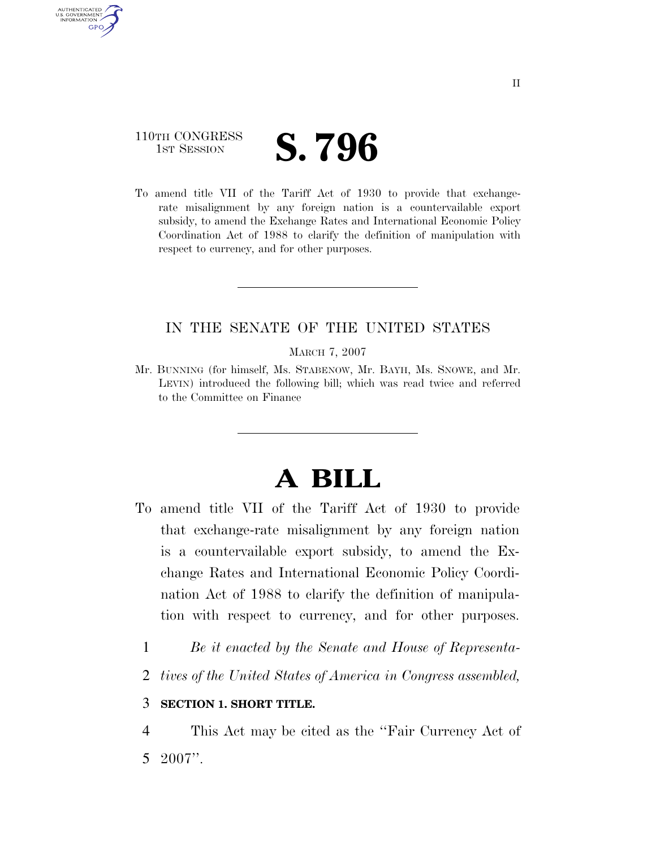### 110TH CONGRESS **IST SESSION S. 796**

AUTHENTICATED U.S. GOVERNMENT **GPO** 

> To amend title VII of the Tariff Act of 1930 to provide that exchangerate misalignment by any foreign nation is a countervailable export subsidy, to amend the Exchange Rates and International Economic Policy Coordination Act of 1988 to clarify the definition of manipulation with respect to currency, and for other purposes.

#### IN THE SENATE OF THE UNITED STATES

MARCH 7, 2007

Mr. BUNNING (for himself, Ms. STABENOW, Mr. BAYH, Ms. SNOWE, and Mr. LEVIN) introduced the following bill; which was read twice and referred to the Committee on Finance

# **A BILL**

- To amend title VII of the Tariff Act of 1930 to provide that exchange-rate misalignment by any foreign nation is a countervailable export subsidy, to amend the Exchange Rates and International Economic Policy Coordination Act of 1988 to clarify the definition of manipulation with respect to currency, and for other purposes.
	- 1 *Be it enacted by the Senate and House of Representa-*
	- 2 *tives of the United States of America in Congress assembled,*

#### 3 **SECTION 1. SHORT TITLE.**

4 This Act may be cited as the ''Fair Currency Act of 5 2007''.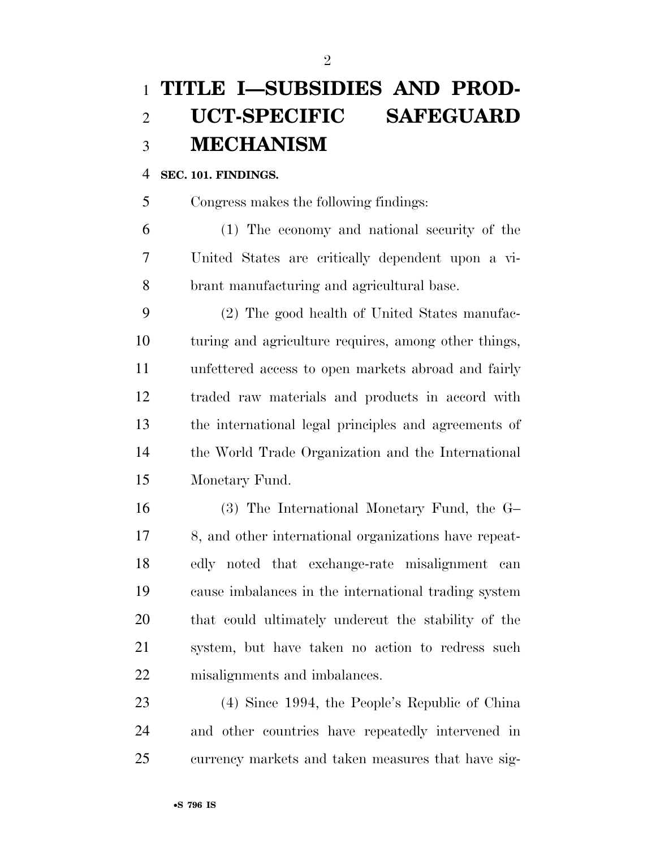## **TITLE I—SUBSIDIES AND PROD- UCT-SPECIFIC SAFEGUARD MECHANISM**

#### **SEC. 101. FINDINGS.**

Congress makes the following findings:

 (1) The economy and national security of the United States are critically dependent upon a vi-brant manufacturing and agricultural base.

 (2) The good health of United States manufac- turing and agriculture requires, among other things, unfettered access to open markets abroad and fairly traded raw materials and products in accord with the international legal principles and agreements of the World Trade Organization and the International Monetary Fund.

 (3) The International Monetary Fund, the G– 8, and other international organizations have repeat- edly noted that exchange-rate misalignment can cause imbalances in the international trading system that could ultimately undercut the stability of the system, but have taken no action to redress such misalignments and imbalances.

 (4) Since 1994, the People's Republic of China and other countries have repeatedly intervened in currency markets and taken measures that have sig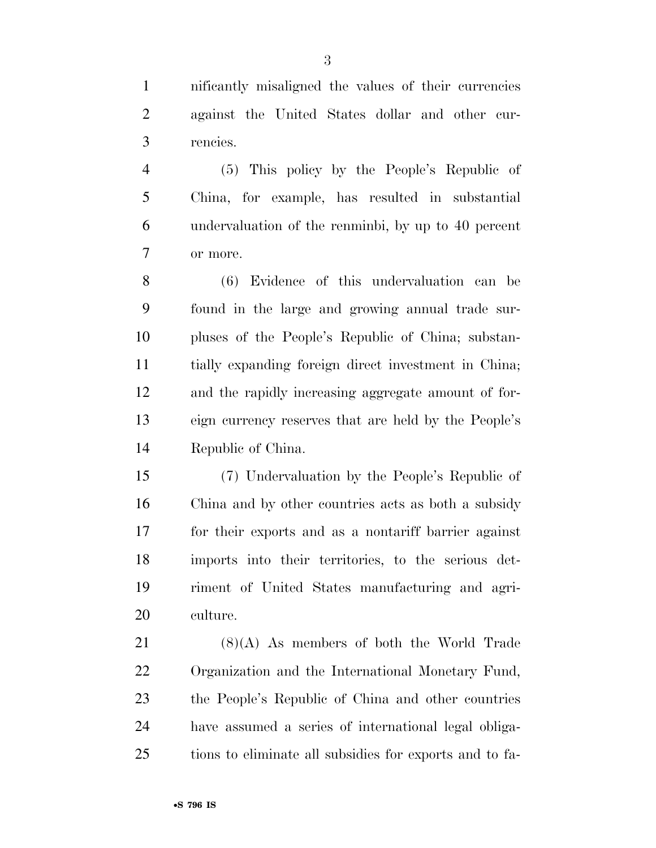nificantly misaligned the values of their currencies against the United States dollar and other cur-rencies.

 (5) This policy by the People's Republic of China, for example, has resulted in substantial undervaluation of the renminbi, by up to 40 percent or more.

 (6) Evidence of this undervaluation can be found in the large and growing annual trade sur- pluses of the People's Republic of China; substan- tially expanding foreign direct investment in China; and the rapidly increasing aggregate amount of for- eign currency reserves that are held by the People's Republic of China.

 (7) Undervaluation by the People's Republic of China and by other countries acts as both a subsidy for their exports and as a nontariff barrier against imports into their territories, to the serious det- riment of United States manufacturing and agri-culture.

 (8)(A) As members of both the World Trade Organization and the International Monetary Fund, the People's Republic of China and other countries have assumed a series of international legal obliga-tions to eliminate all subsidies for exports and to fa-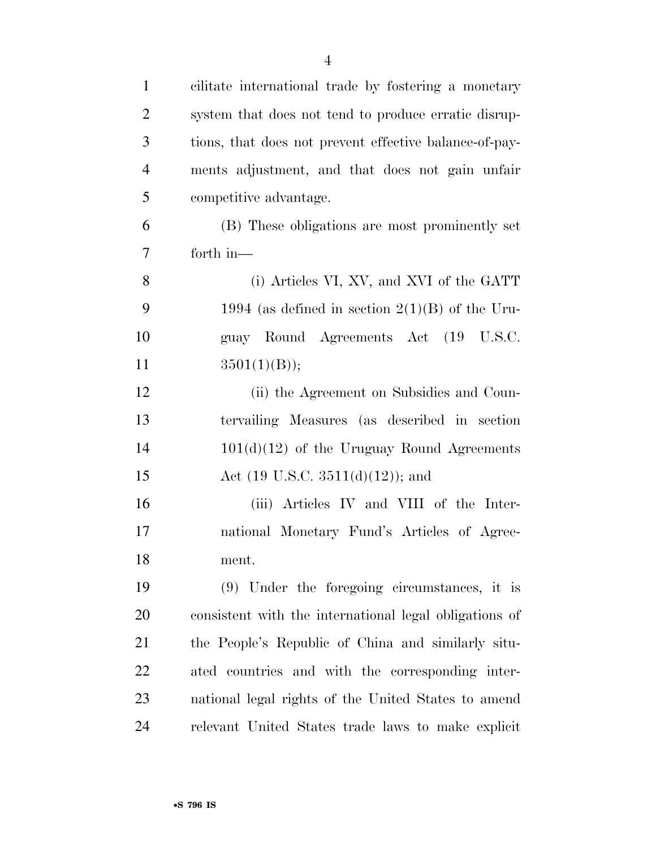| $\mathbf{1}$   | cilitate international trade by fostering a monetary   |
|----------------|--------------------------------------------------------|
| $\overline{2}$ | system that does not tend to produce erratic disrup-   |
| 3              | tions, that does not prevent effective balance-of-pay- |
| $\overline{4}$ | ments adjustment, and that does not gain unfair        |
| 5              | competitive advantage.                                 |
| 6              | (B) These obligations are most prominently set         |
| $\tau$         | forth in-                                              |
| 8              | (i) Articles VI, XV, and XVI of the GATT               |
| 9              | 1994 (as defined in section $2(1)(B)$ of the Uru-      |
| 10             | guay Round Agreements Act (19 U.S.C.                   |
| 11             | 3501(1)(B));                                           |
| 12             | (ii) the Agreement on Subsidies and Coun-              |
| 13             | tervailing Measures (as described in section           |
| 14             | $101(d)(12)$ of the Uruguay Round Agreements           |
| 15             | Act $(19 \text{ U.S.C. } 3511(d)(12));$ and            |
| 16             | (iii) Articles IV and VIII of the Inter-               |
| 17             | national Monetary Fund's Articles of Agree-            |
| 18             | ment.                                                  |
| 19             | $(9)$ Under the foregoing circumstances, it is         |
| 20             | consistent with the international legal obligations of |
| 21             | the People's Republic of China and similarly situ-     |
| 22             | ated countries and with the corresponding inter-       |
| 23             | national legal rights of the United States to amend    |
| 24             | relevant United States trade laws to make explicit     |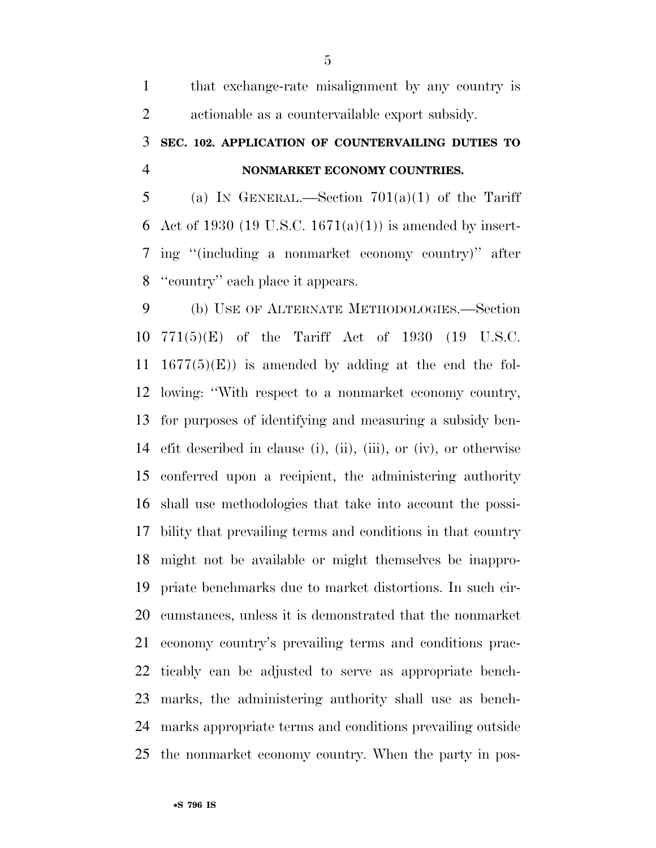| 1              | that exchange-rate misalignment by any country is                |
|----------------|------------------------------------------------------------------|
| $\overline{2}$ | actionable as a countervailable export subsidy.                  |
| 3              | SEC. 102. APPLICATION OF COUNTERVAILING DUTIES TO                |
| $\overline{4}$ | NONMARKET ECONOMY COUNTRIES.                                     |
| 5              | (a) IN GENERAL.—Section $701(a)(1)$ of the Tariff                |
| 6              | Act of 1930 (19 U.S.C. 1671(a)(1)) is amended by insert-         |
| 7              | ing "(including a nonmarket economy country)" after              |
| 8              | "country" each place it appears.                                 |
| 9              | (b) USE OF ALTERNATE METHODOLOGIES.—Section                      |
| 10             | $771(5)(E)$ of the Tariff Act of 1930 (19 U.S.C.                 |
| 11             | $1677(5)(E)$ is amended by adding at the end the fol-            |
| 12             | lowing: "With respect to a nonmarket economy country,            |
| 13             | for purposes of identifying and measuring a subsidy ben-         |
| 14             | efit described in clause (i), (ii), (iii), or (iv), or otherwise |
| 15             | conferred upon a recipient, the administering authority          |
|                | 16 shall use methodologies that take into account the possi-     |
| 17             | bility that prevailing terms and conditions in that country      |
|                | 18 might not be available or might themselves be inappro-        |
| 19             | priate benchmarks due to market distortions. In such cir-        |
| 20             | cumstances, unless it is demonstrated that the nonmarket         |
| 21             | economy country's prevailing terms and conditions prac-          |
| <u>22</u>      | ticably can be adjusted to serve as appropriate bench-           |
| 23             | marks, the administering authority shall use as bench-           |

 marks appropriate terms and conditions prevailing outside the nonmarket economy country. When the party in pos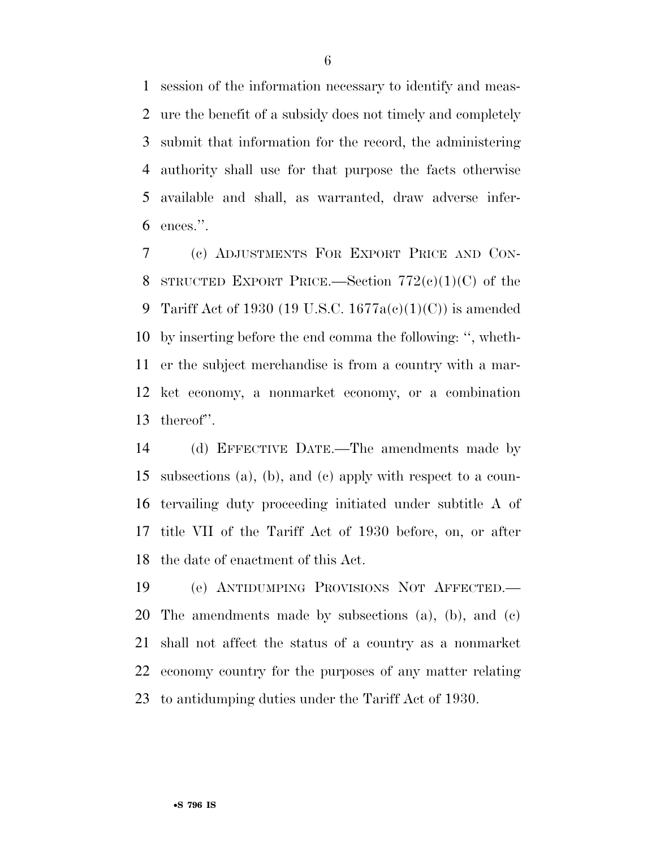session of the information necessary to identify and meas- ure the benefit of a subsidy does not timely and completely submit that information for the record, the administering authority shall use for that purpose the facts otherwise available and shall, as warranted, draw adverse infer-ences.''.

 (c) ADJUSTMENTS FOR EXPORT PRICE AND CON-8 STRUCTED EXPORT PRICE.—Section  $772(e)(1)(C)$  of the 9 Tariff Act of 1930 (19 U.S.C.  $1677a(c)(1)(C)$ ) is amended by inserting before the end comma the following: '', wheth- er the subject merchandise is from a country with a mar- ket economy, a nonmarket economy, or a combination thereof''.

 (d) EFFECTIVE DATE.—The amendments made by subsections (a), (b), and (c) apply with respect to a coun- tervailing duty proceeding initiated under subtitle A of title VII of the Tariff Act of 1930 before, on, or after the date of enactment of this Act.

 (e) ANTIDUMPING PROVISIONS NOT AFFECTED.— The amendments made by subsections (a), (b), and (c) shall not affect the status of a country as a nonmarket economy country for the purposes of any matter relating to antidumping duties under the Tariff Act of 1930.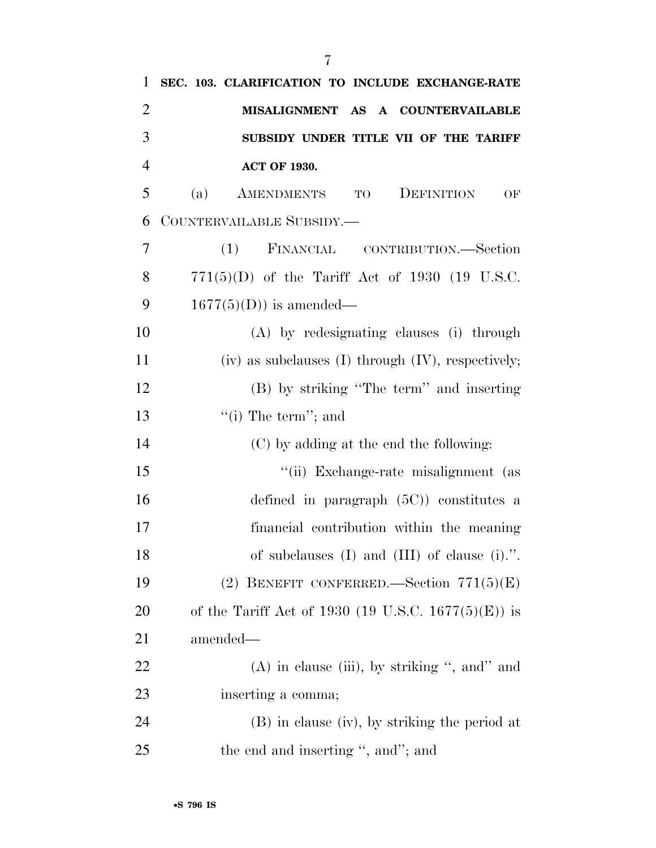| 1              | SEC. 103. CLARIFICATION TO INCLUDE EXCHANGE-RATE          |
|----------------|-----------------------------------------------------------|
| $\overline{2}$ | MISALIGNMENT AS A COUNTERVAILABLE                         |
| 3              | SUBSIDY UNDER TITLE VII OF THE TARIFF                     |
| $\overline{4}$ | <b>ACT OF 1930.</b>                                       |
| 5              | (a)<br>AMENDMENTS TO<br>DEFINITION<br>OF                  |
| 6              | COUNTERVAILABLE SUBSIDY.—                                 |
| 7              | (1)<br>FINANCIAL CONTRIBUTION.—Section                    |
| 8              | $771(5)(D)$ of the Tariff Act of 1930 (19 U.S.C.          |
| 9              | $1677(5)(D)$ is amended—                                  |
| 10             | (A) by redesignating clauses (i) through                  |
| 11             | $(iv)$ as subclauses $(I)$ through $(IV)$ , respectively; |
| 12             | (B) by striking "The term" and inserting                  |
| 13             | "(i) The term"; and                                       |
| 14             | (C) by adding at the end the following:                   |
| 15             | "(ii) Exchange-rate misalignment (as                      |
| 16             | defined in paragraph $(5C)$ constitutes a                 |
| 17             | financial contribution within the meaning                 |
| 18             | of subclauses $(I)$ and $(III)$ of clause $(i)$ .".       |
| 19             | (2) BENEFIT CONFERRED. Section $771(5)(E)$                |
| <b>20</b>      | of the Tariff Act of 1930 (19 U.S.C. 1677(5)(E)) is       |
| 21             | amended—                                                  |
| <u>22</u>      | $(A)$ in clause (iii), by striking ", and" and            |
| 23             | inserting a comma;                                        |
| 24             | (B) in clause (iv), by striking the period at             |
| 25             | the end and inserting ", and"; and                        |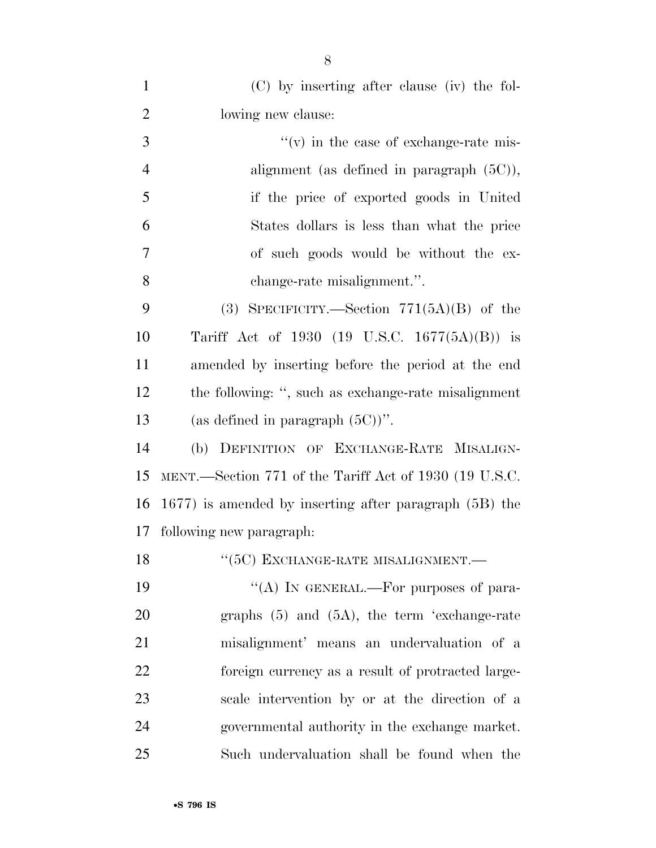| $\mathbf{1}$   | $(C)$ by inserting after clause (iv) the fol-               |
|----------------|-------------------------------------------------------------|
| $\overline{2}$ | lowing new clause:                                          |
| 3              | $f'(v)$ in the case of exchange-rate mis-                   |
| $\overline{4}$ | alignment (as defined in paragraph $(5C)$ ),                |
| 5              | if the price of exported goods in United                    |
| 6              | States dollars is less than what the price                  |
| 7              | of such goods would be without the ex-                      |
| 8              | change-rate misalignment.".                                 |
| 9              | (3) SPECIFICITY.—Section $771(5A)(B)$ of the                |
| 10             | Tariff Act of 1930 (19 U.S.C. $1677(5A)(B)$ ) is            |
| 11             | amended by inserting before the period at the end           |
| 12             | the following: ", such as exchange-rate misalignment        |
| 13             | (as defined in paragraph $(5C)$ )".                         |
| 14             | (b) DEFINITION OF EXCHANGE-RATE MISALIGN-                   |
| 15             | MENT.—Section 771 of the Tariff Act of 1930 (19 U.S.C.      |
| 16             | $1677$ ) is amended by inserting after paragraph $(5B)$ the |
| 17             | following new paragraph.                                    |
| 18             | $``(5C)$ EXCHANGE-RATE MISALIGNMENT.—                       |
| 19             | "(A) IN GENERAL.—For purposes of para-                      |
| 20             | graphs $(5)$ and $(5A)$ , the term 'exchange-rate           |
| 21             | misalignment' means an undervaluation of a                  |
| 22             | foreign currency as a result of protracted large-           |
| 23             | scale intervention by or at the direction of a              |
| 24             | governmental authority in the exchange market.              |
| 25             | Such undervaluation shall be found when the                 |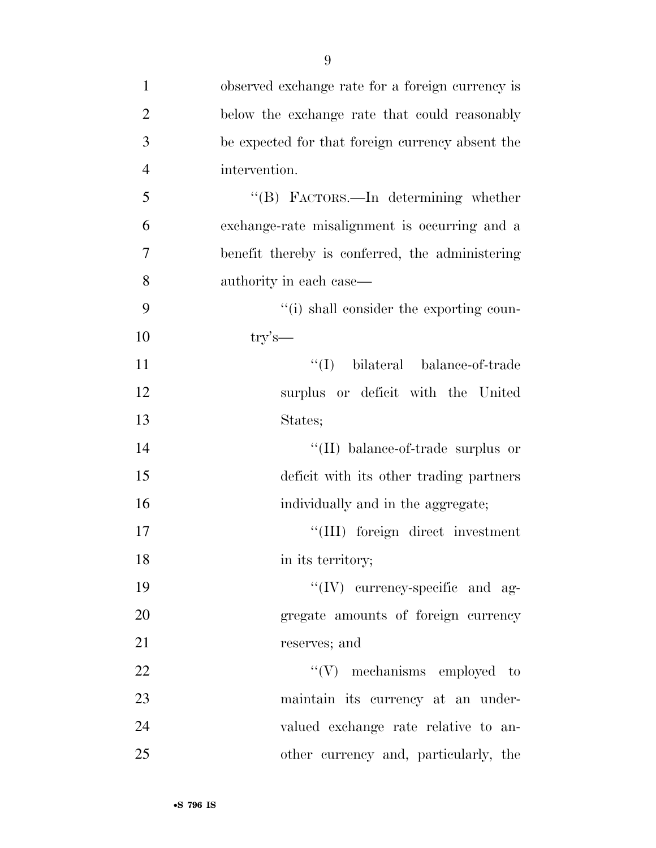| $\mathbf{1}$   | observed exchange rate for a foreign currency is |
|----------------|--------------------------------------------------|
| $\overline{2}$ | below the exchange rate that could reasonably    |
| 3              | be expected for that foreign currency absent the |
| $\overline{4}$ | intervention.                                    |
| 5              | "(B) FACTORS.—In determining whether             |
| 6              | exchange-rate misalignment is occurring and a    |
| 7              | benefit thereby is conferred, the administering  |
| 8              | authority in each case—                          |
| 9              | "(i) shall consider the exporting coun-          |
| 10             | $\text{try's}$                                   |
| 11             | "(I) bilateral balance-of-trade                  |
| 12             | surplus or deficit with the United               |
| 13             | States;                                          |
| 14             | "(II) balance-of-trade surplus or                |
| 15             | deficit with its other trading partners          |
| 16             | individually and in the aggregate;               |
| 17             | "(III) foreign direct investment                 |
| 18             | in its territory;                                |
| 19             | $\lq\lq$ (IV) currency-specific and ag-          |
| 20             | gregate amounts of foreign currency              |
| 21             | reserves; and                                    |
| 22             | $\lq\lq(V)$ mechanisms employed to               |
| 23             | maintain its currency at an under-               |
| 24             | valued exchange rate relative to an-             |
| 25             | other currency and, particularly, the            |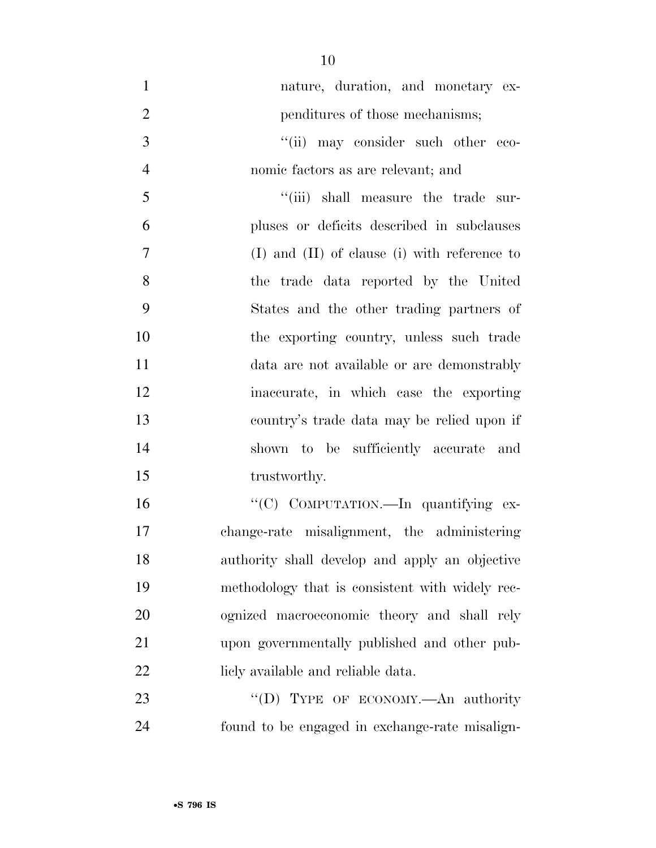| $\mathbf{1}$   | nature, duration, and monetary ex-                 |
|----------------|----------------------------------------------------|
| $\overline{2}$ | penditures of those mechanisms;                    |
| 3              | "(ii) may consider such other eco-                 |
| $\overline{4}$ | nomic factors as are relevant; and                 |
| 5              | "(iii) shall measure the trade sur-                |
| 6              | pluses or deficits described in subclauses         |
| 7              | $(I)$ and $(II)$ of clause $(i)$ with reference to |
| 8              | the trade data reported by the United              |
| 9              | States and the other trading partners of           |
| 10             | the exporting country, unless such trade           |
| 11             | data are not available or are demonstrably         |
| 12             | inaccurate, in which case the exporting            |
| 13             | country's trade data may be relied upon if         |
| 14             | shown to be sufficiently accurate and              |
| 15             | trustworthy.                                       |
| 16             | "(C) COMPUTATION.-In quantifying ex-               |
| 17             | change-rate misalignment, the administering        |
| 18             | authority shall develop and apply an objective     |
| 19             | methodology that is consistent with widely rec-    |
| 20             | ognized macroeconomic theory and shall rely        |
| 21             | upon governmentally published and other pub-       |
| 22             | licly available and reliable data.                 |
| 23             | "(D) TYPE OF ECONOMY.—An authority                 |
| 24             | found to be engaged in exchange-rate misalign-     |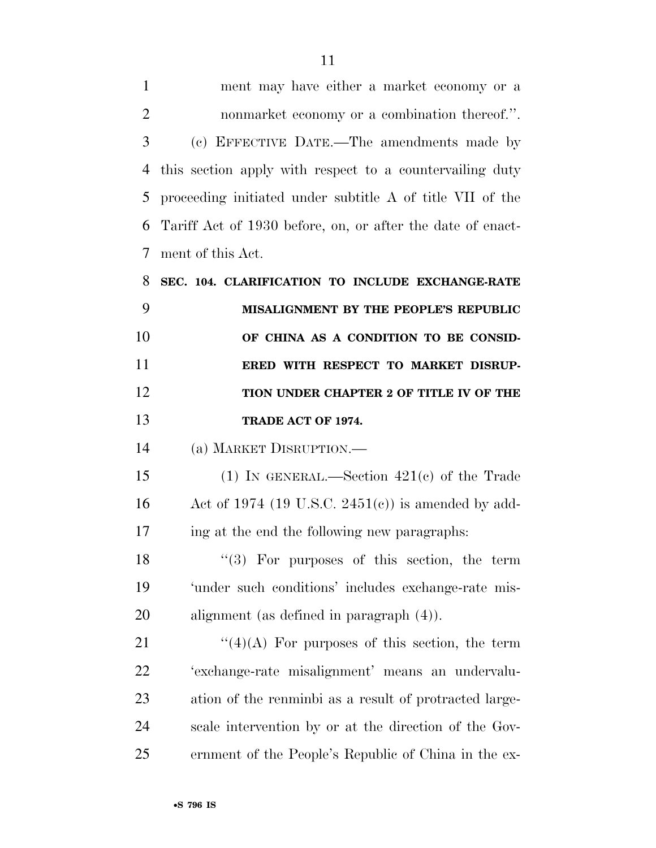| $\mathbf{1}$   | ment may have either a market economy or a                 |
|----------------|------------------------------------------------------------|
| $\overline{2}$ | nonmarket economy or a combination thereof.".              |
| 3              | (c) EFFECTIVE DATE.—The amendments made by                 |
| $\overline{4}$ | this section apply with respect to a countervailing duty   |
| 5              | proceeding initiated under subtitle A of title VII of the  |
| 6              | Tariff Act of 1930 before, on, or after the date of enact- |
| 7              | ment of this Act.                                          |
| 8              | SEC. 104. CLARIFICATION TO INCLUDE EXCHANGE-RATE           |
| 9              | MISALIGNMENT BY THE PEOPLE'S REPUBLIC                      |
| 10             | OF CHINA AS A CONDITION TO BE CONSID-                      |
|                |                                                            |
| 11             | ERED WITH RESPECT TO MARKET DISRUP-                        |
| 12             | TION UNDER CHAPTER 2 OF TITLE IV OF THE                    |
| 13             | TRADE ACT OF 1974.                                         |
| 14             | (a) MARKET DISRUPTION.                                     |
| 15             | (1) IN GENERAL.—Section $421(c)$ of the Trade              |
| 16             | Act of 1974 (19 U.S.C. 2451(c)) is amended by add-         |
| 17             | ing at the end the following new paragraphs.               |
| 18             | $\lq(3)$ For purposes of this section, the term            |
| 19             | 'under such conditions' includes exchange-rate mis-        |

 $\frac{1}{2}$  (4)(A) For purposes of this section, the term 'exchange-rate misalignment' means an undervalu- ation of the renminbi as a result of protracted large- scale intervention by or at the direction of the Gov-ernment of the People's Republic of China in the ex-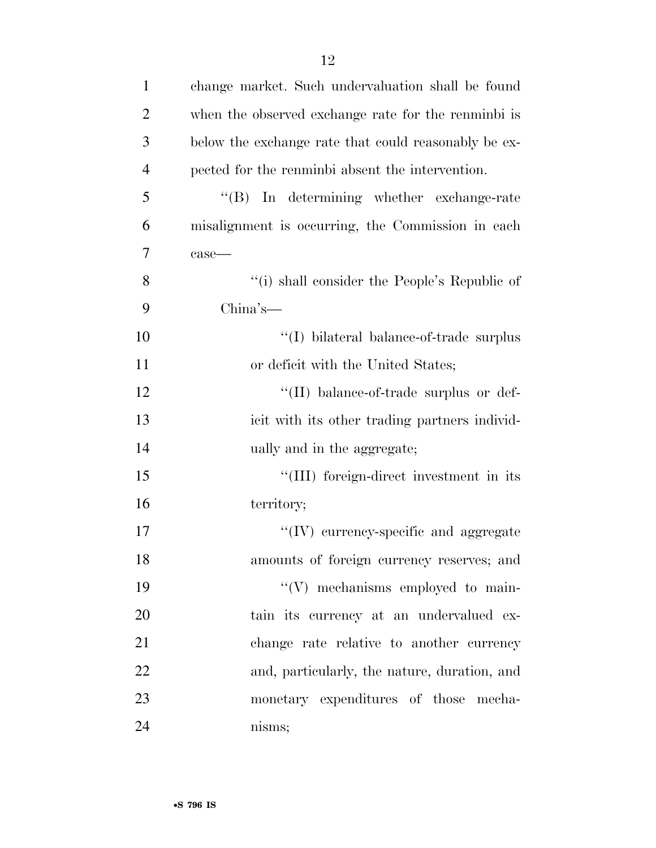| $\mathbf{1}$   | change market. Such undervaluation shall be found    |
|----------------|------------------------------------------------------|
| $\overline{2}$ | when the observed exchange rate for the renminbi is  |
| 3              | below the exchange rate that could reasonably be ex- |
| $\overline{4}$ | pected for the renminbi absent the intervention.     |
| 5              | "(B) In determining whether exchange-rate            |
| 6              | misalignment is occurring, the Commission in each    |
| 7              | $case$ —                                             |
| 8              | "(i) shall consider the People's Republic of         |
| 9              | $China's$ —                                          |
| 10             | $\lq\lq$ (I) bilateral balance-of-trade surplus      |
| 11             | or deficit with the United States;                   |
| 12             | "(II) balance-of-trade surplus or def-               |
| 13             | icit with its other trading partners individ-        |
| 14             | ually and in the aggregate;                          |
| 15             | "(III) foreign-direct investment in its              |
| 16             | territory;                                           |
| 17             | "(IV) currency-specific and aggregate                |
| 18             | amounts of foreign currency reserves; and            |
| 19             | "(V) mechanisms employed to main-                    |
| 20             | tain its currency at an undervalued ex-              |
| 21             | change rate relative to another currency             |
| 22             | and, particularly, the nature, duration, and         |
| 23             | monetary expenditures of those mecha-                |
| 24             | nisms;                                               |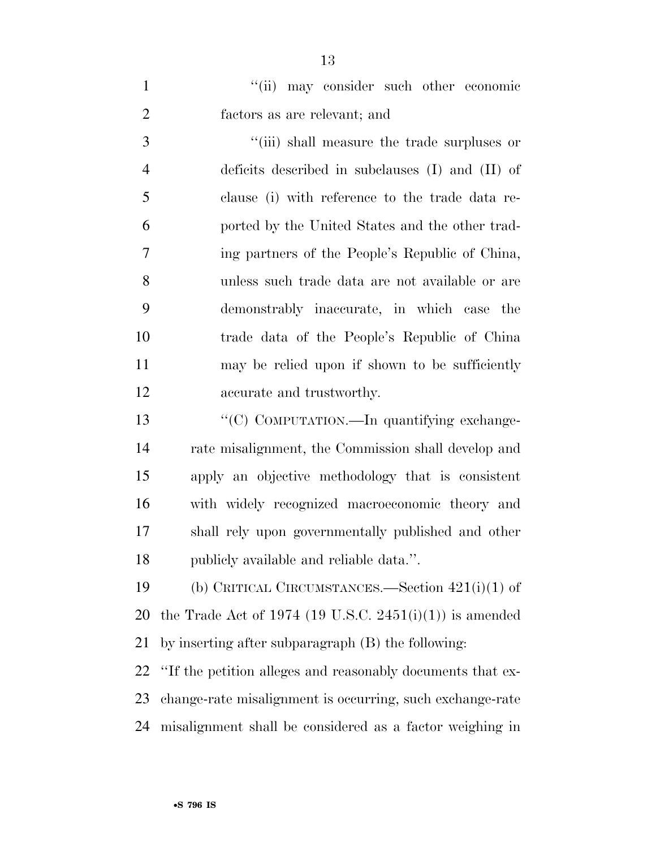1 ''(ii) may consider such other economic factors as are relevant; and  $\frac{1}{2}$   $\frac{1}{2}$   $\frac{1}{2}$  shall measure the trade surpluses or deficits described in subclauses (I) and (II) of clause (i) with reference to the trade data re- ported by the United States and the other trad- ing partners of the People's Republic of China, unless such trade data are not available or are demonstrably inaccurate, in which case the trade data of the People's Republic of China may be relied upon if shown to be sufficiently accurate and trustworthy. 13 "'(C) COMPUTATION.—In quantifying exchange-rate misalignment, the Commission shall develop and

 apply an objective methodology that is consistent with widely recognized macroeconomic theory and shall rely upon governmentally published and other publicly available and reliable data.''.

 (b) CRITICAL CIRCUMSTANCES.—Section 421(i)(1) of 20 the Trade Act of 1974 (19 U.S.C. 2451(i)(1)) is amended by inserting after subparagraph (B) the following:

 ''If the petition alleges and reasonably documents that ex- change-rate misalignment is occurring, such exchange-rate misalignment shall be considered as a factor weighing in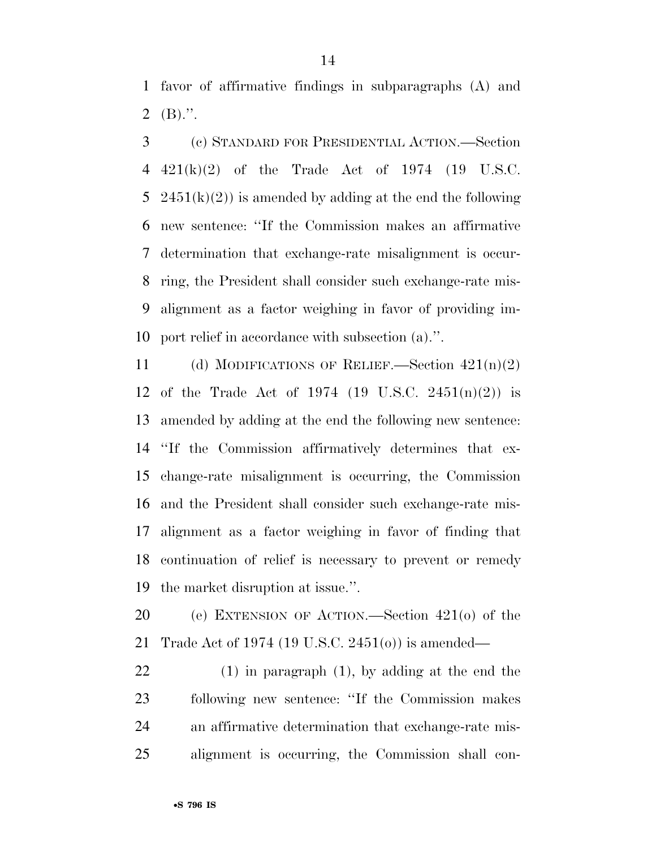favor of affirmative findings in subparagraphs (A) and 2  $(B)$ .".

 (c) STANDARD FOR PRESIDENTIAL ACTION.—Section 421(k)(2) of the Trade Act of 1974 (19 U.S.C. 5 2451(k)(2)) is amended by adding at the end the following new sentence: ''If the Commission makes an affirmative determination that exchange-rate misalignment is occur- ring, the President shall consider such exchange-rate mis- alignment as a factor weighing in favor of providing im-port relief in accordance with subsection (a).''.

 (d) MODIFICATIONS OF RELIEF.—Section 421(n)(2) of the Trade Act of 1974 (19 U.S.C. 2451(n)(2)) is amended by adding at the end the following new sentence: ''If the Commission affirmatively determines that ex- change-rate misalignment is occurring, the Commission and the President shall consider such exchange-rate mis- alignment as a factor weighing in favor of finding that continuation of relief is necessary to prevent or remedy the market disruption at issue.''.

 (e) EXTENSION OF ACTION.—Section 421(o) of the Trade Act of 1974 (19 U.S.C. 2451(o)) is amended—

 (1) in paragraph (1), by adding at the end the following new sentence: ''If the Commission makes an affirmative determination that exchange-rate mis-alignment is occurring, the Commission shall con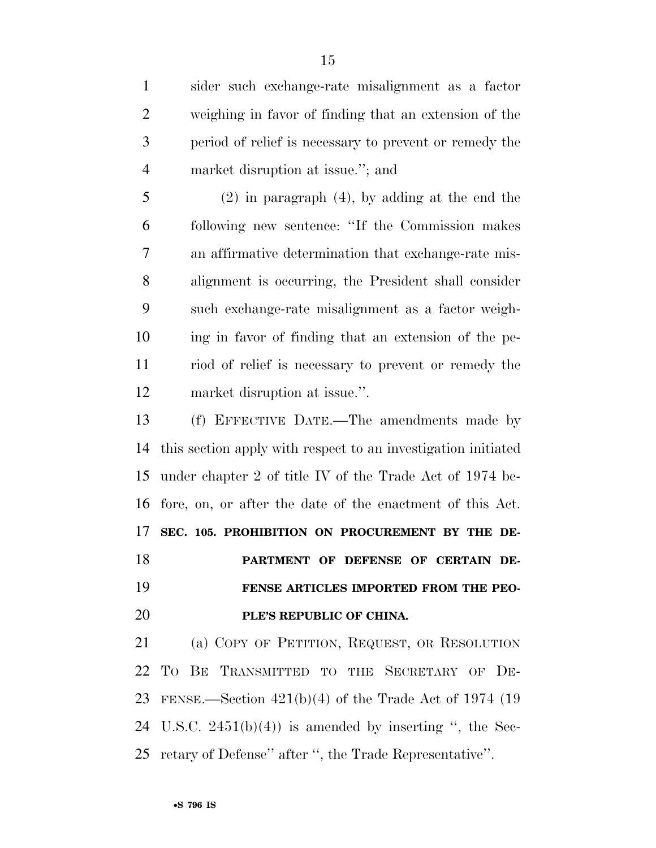sider such exchange-rate misalignment as a factor weighing in favor of finding that an extension of the period of relief is necessary to prevent or remedy the market disruption at issue.''; and

 (2) in paragraph (4), by adding at the end the following new sentence: ''If the Commission makes an affirmative determination that exchange-rate mis- alignment is occurring, the President shall consider such exchange-rate misalignment as a factor weigh- ing in favor of finding that an extension of the pe- riod of relief is necessary to prevent or remedy the market disruption at issue.''.

 (f) EFFECTIVE DATE.—The amendments made by this section apply with respect to an investigation initiated under chapter 2 of title IV of the Trade Act of 1974 be- fore, on, or after the date of the enactment of this Act. **SEC. 105. PROHIBITION ON PROCUREMENT BY THE DE- PARTMENT OF DEFENSE OF CERTAIN DE- FENSE ARTICLES IMPORTED FROM THE PEO-PLE'S REPUBLIC OF CHINA.** 

 (a) COPY OF PETITION, REQUEST, OR RESOLUTION TO BE TRANSMITTED TO THE SECRETARY OF DE- FENSE.—Section 421(b)(4) of the Trade Act of 1974 (19 24 U.S.C.  $2451(b)(4)$  is amended by inserting ", the Sec-retary of Defense'' after '', the Trade Representative''.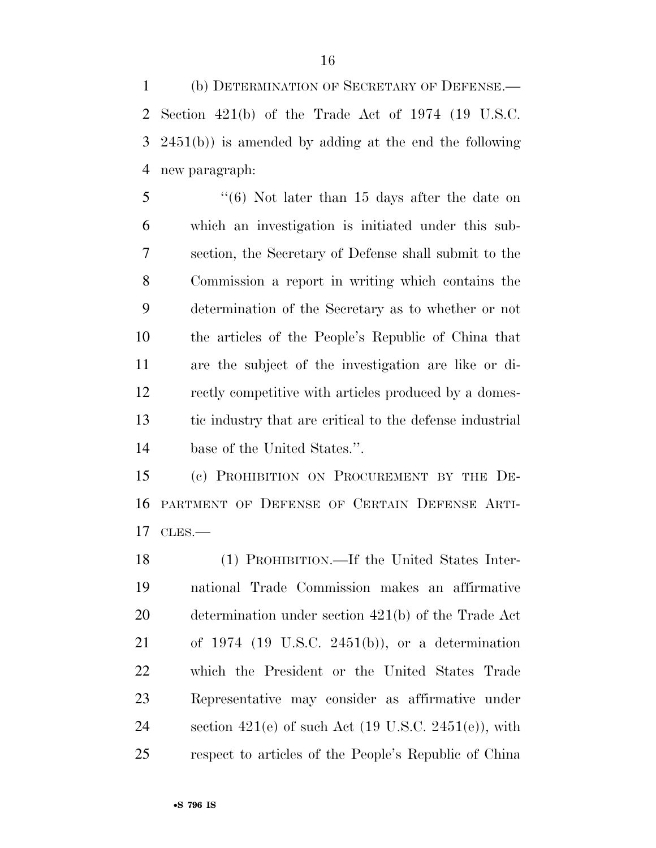(b) DETERMINATION OF SECRETARY OF DEFENSE.— Section 421(b) of the Trade Act of 1974 (19 U.S.C. 2451(b)) is amended by adding at the end the following new paragraph:

 ''(6) Not later than 15 days after the date on which an investigation is initiated under this sub- section, the Secretary of Defense shall submit to the Commission a report in writing which contains the determination of the Secretary as to whether or not the articles of the People's Republic of China that are the subject of the investigation are like or di- rectly competitive with articles produced by a domes- tic industry that are critical to the defense industrial base of the United States.''.

 (c) PROHIBITION ON PROCUREMENT BY THE DE- PARTMENT OF DEFENSE OF CERTAIN DEFENSE ARTI-CLES.—

 (1) PROHIBITION.—If the United States Inter- national Trade Commission makes an affirmative determination under section 421(b) of the Trade Act of 1974 (19 U.S.C. 2451(b)), or a determination which the President or the United States Trade Representative may consider as affirmative under 24 section  $421(e)$  of such Act  $(19 \text{ U.S.C. } 2451(e))$ , with respect to articles of the People's Republic of China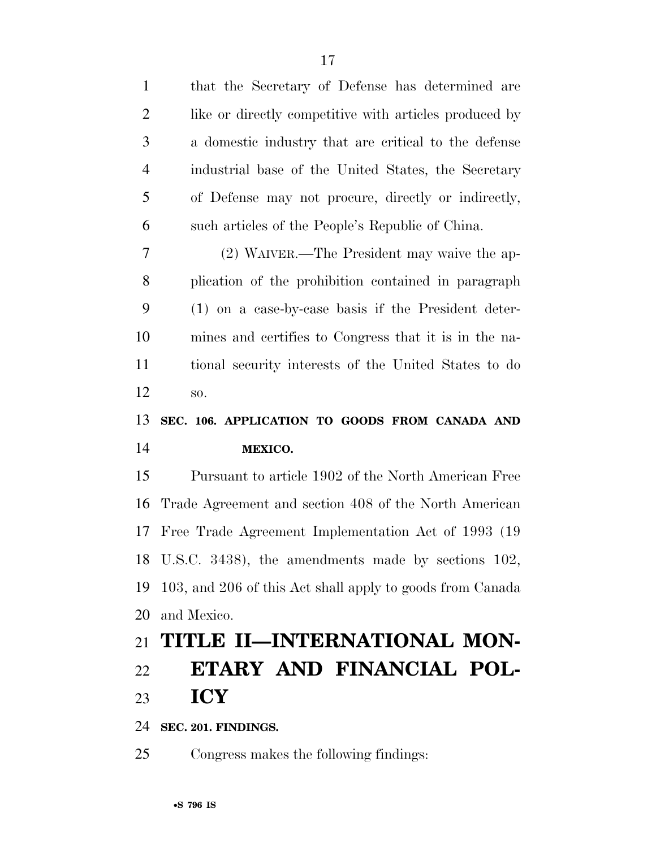| $\mathbf{1}$   | that the Secretary of Defense has determined are          |
|----------------|-----------------------------------------------------------|
| $\overline{2}$ | like or directly competitive with articles produced by    |
| 3              | a domestic industry that are critical to the defense      |
| $\overline{4}$ | industrial base of the United States, the Secretary       |
| 5              | of Defense may not procure, directly or indirectly,       |
| 6              | such articles of the People's Republic of China.          |
| 7              | (2) WAIVER.—The President may waive the ap-               |
| 8              | plication of the prohibition contained in paragraph       |
| 9              | (1) on a case-by-case basis if the President deter-       |
| 10             | mines and certifies to Congress that it is in the na-     |
| 11             | tional security interests of the United States to do      |
| 12             | SO.                                                       |
|                |                                                           |
| 13             | SEC. 106. APPLICATION TO GOODS FROM CANADA AND            |
| 14             | MEXICO.                                                   |
| 15             | Pursuant to article 1902 of the North American Free       |
| 16             | Trade Agreement and section 408 of the North American     |
| 17             | Free Trade Agreement Implementation Act of 1993 (19)      |
|                | 18 U.S.C. 3438), the amendments made by sections 102,     |
| 19             | 103, and 206 of this Act shall apply to goods from Canada |
| 20             | and Mexico.                                               |
| 21             | TITLE II—INTERNATIONAL MON-                               |
| 22             | ETARY AND FINANCIAL POL-                                  |
| 23             | <b>ICY</b>                                                |

**SEC. 201. FINDINGS.** 

Congress makes the following findings: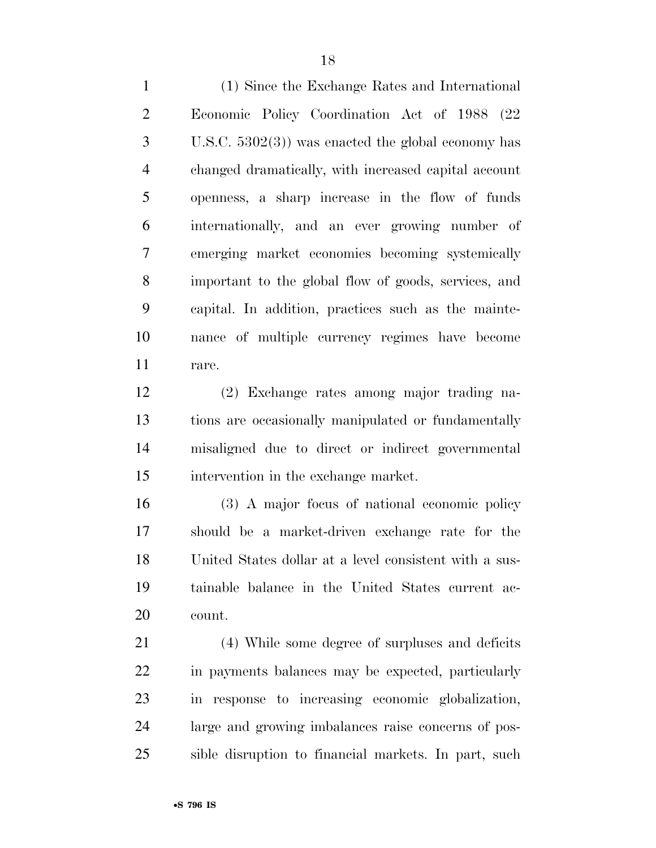(1) Since the Exchange Rates and International Economic Policy Coordination Act of 1988 (22 U.S.C. 5302(3)) was enacted the global economy has changed dramatically, with increased capital account openness, a sharp increase in the flow of funds internationally, and an ever growing number of emerging market economies becoming systemically important to the global flow of goods, services, and capital. In addition, practices such as the mainte- nance of multiple currency regimes have become rare.

 (2) Exchange rates among major trading na- tions are occasionally manipulated or fundamentally misaligned due to direct or indirect governmental intervention in the exchange market.

 (3) A major focus of national economic policy should be a market-driven exchange rate for the United States dollar at a level consistent with a sus- tainable balance in the United States current ac-count.

 (4) While some degree of surpluses and deficits in payments balances may be expected, particularly in response to increasing economic globalization, large and growing imbalances raise concerns of pos-sible disruption to financial markets. In part, such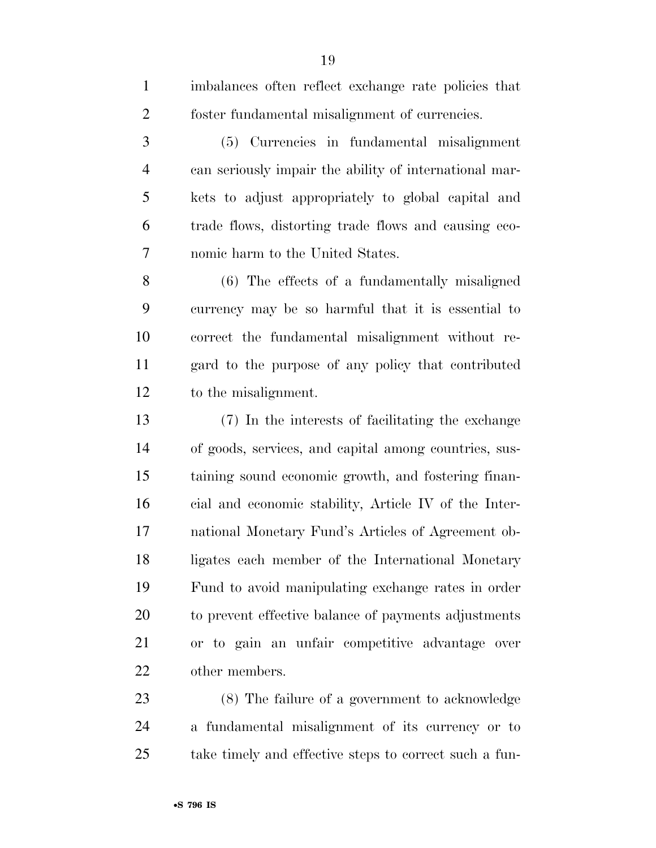| $\mathbf{1}$   | imbalances often reflect exchange rate policies that   |
|----------------|--------------------------------------------------------|
| $\overline{2}$ | foster fundamental misalignment of currencies.         |
| 3              | (5) Currencies in fundamental misalignment             |
| 4              | can seriously impair the ability of international mar- |
| 5              | kets to adjust appropriately to global capital and     |
| 6              | trade flows, distorting trade flows and causing eco-   |
| 7              | nomic harm to the United States.                       |
| 8              | (6) The effects of a fundamentally misaligned          |
| 9              | currency may be so harmful that it is essential to     |
| 10             | correct the fundamental misalignment without re-       |
| 11             | gard to the purpose of any policy that contributed     |
| 12             | to the misalignment.                                   |
| 13             | (7) In the interests of facilitating the exchange      |
| 14             | of goods, services, and capital among countries, sus-  |
| 15             | taining sound economic growth, and fostering finan-    |
| 16             | cial and economic stability, Article IV of the Inter-  |
| 17             | national Monetary Fund's Articles of Agreement ob-     |
| 18             | ligates each member of the International Monetary      |
| 19             | Fund to avoid manipulating exchange rates in order     |
| 20             | to prevent effective balance of payments adjustments   |
| 21             | or to gain an unfair competitive advantage over        |
| 22             | other members.                                         |
| 23             | (8) The failure of a government to acknowledge         |
|                |                                                        |

 a fundamental misalignment of its currency or to take timely and effective steps to correct such a fun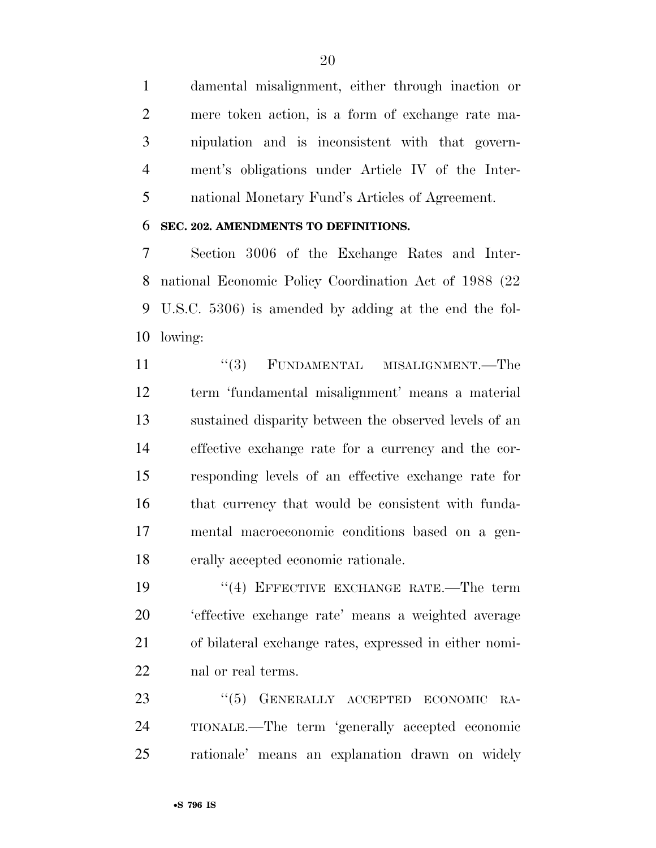damental misalignment, either through inaction or mere token action, is a form of exchange rate ma- nipulation and is inconsistent with that govern- ment's obligations under Article IV of the Inter-national Monetary Fund's Articles of Agreement.

#### **SEC. 202. AMENDMENTS TO DEFINITIONS.**

 Section 3006 of the Exchange Rates and Inter- national Economic Policy Coordination Act of 1988 (22 U.S.C. 5306) is amended by adding at the end the fol-lowing:

11 ''(3) FUNDAMENTAL MISALIGNMENT.—The term 'fundamental misalignment' means a material sustained disparity between the observed levels of an effective exchange rate for a currency and the cor- responding levels of an effective exchange rate for that currency that would be consistent with funda- mental macroeconomic conditions based on a gen-erally accepted economic rationale.

19 <sup>"</sup>(4) EFFECTIVE EXCHANGE RATE.—The term 'effective exchange rate' means a weighted average of bilateral exchange rates, expressed in either nomi-nal or real terms.

23 "(5) GENERALLY ACCEPTED ECONOMIC RA- TIONALE.—The term 'generally accepted economic rationale' means an explanation drawn on widely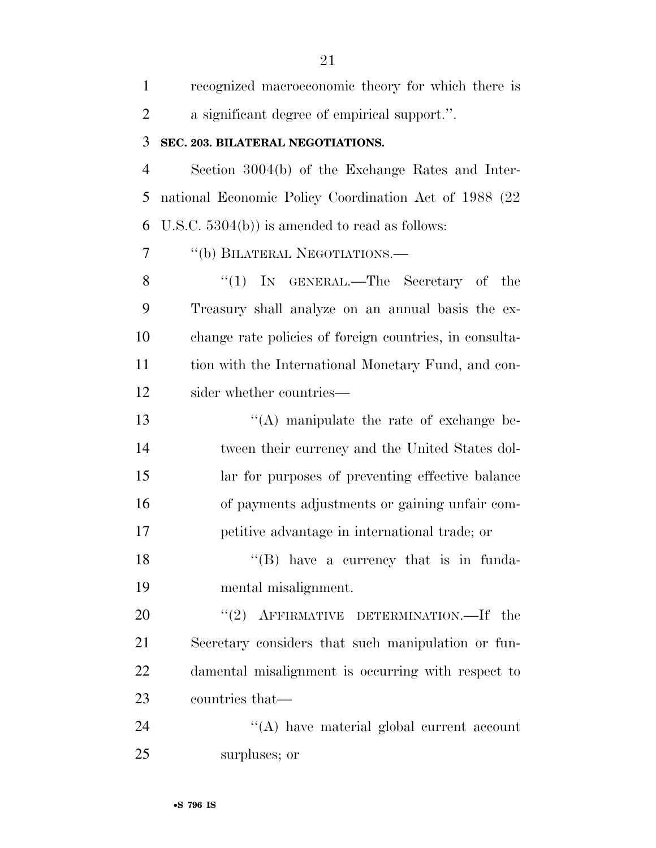| $\mathbf{1}$   | recognized macroeconomic theory for which there is      |
|----------------|---------------------------------------------------------|
| $\overline{2}$ | a significant degree of empirical support.".            |
| 3              | SEC. 203. BILATERAL NEGOTIATIONS.                       |
| $\overline{4}$ | Section 3004(b) of the Exchange Rates and Inter-        |
| 5              | national Economic Policy Coordination Act of 1988 (22)  |
| 6              | U.S.C. $5304(b)$ ) is amended to read as follows:       |
| 7              | "(b) BILATERAL NEGOTIATIONS.—                           |
| 8              | ``(1)<br>IN GENERAL.—The Secretary of the               |
| 9              | Treasury shall analyze on an annual basis the ex-       |
| 10             | change rate policies of foreign countries, in consulta- |
| 11             | tion with the International Monetary Fund, and con-     |
| 12             | sider whether countries—                                |
| 13             | $\lq\lq$ manipulate the rate of exchange be-            |
| 14             | tween their currency and the United States dol-         |
| 15             | lar for purposes of preventing effective balance        |
| 16             | of payments adjustments or gaining unfair com-          |
| 17             | petitive advantage in international trade; or           |
| 18             | "(B) have a currency that is in funda-                  |
| 19             | mental misalignment.                                    |
| 20             | "(2) AFFIRMATIVE DETERMINATION.—If the                  |
| 21             | Secretary considers that such manipulation or fun-      |
| 22             | damental misalignment is occurring with respect to      |
| 23             | countries that—                                         |
| 24             | $\lq\lq$ have material global current account           |
| 25             | surpluses; or                                           |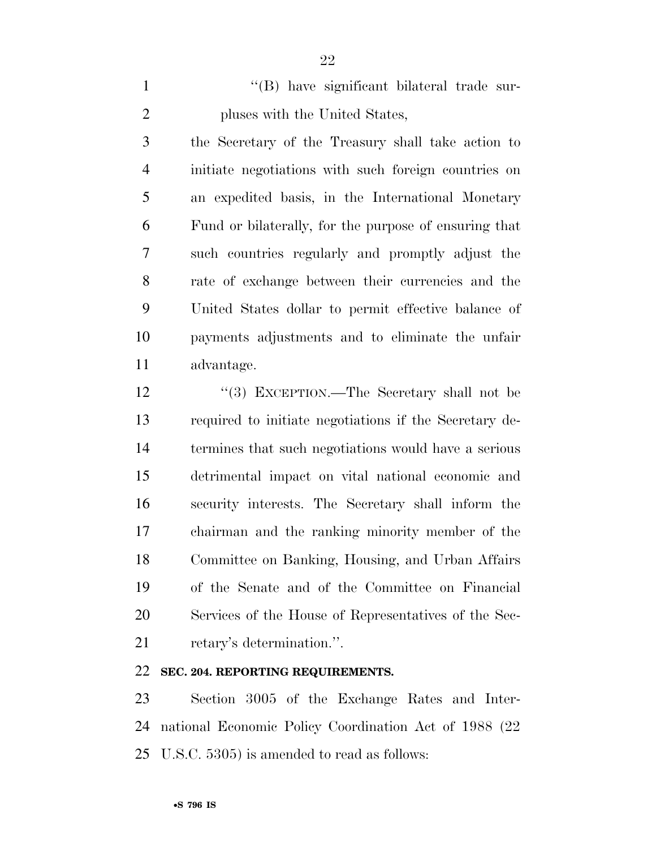1 ''(B) have significant bilateral trade sur-pluses with the United States,

 the Secretary of the Treasury shall take action to initiate negotiations with such foreign countries on an expedited basis, in the International Monetary Fund or bilaterally, for the purpose of ensuring that such countries regularly and promptly adjust the rate of exchange between their currencies and the United States dollar to permit effective balance of payments adjustments and to eliminate the unfair advantage.

12 "(3) EXCEPTION.—The Secretary shall not be required to initiate negotiations if the Secretary de- termines that such negotiations would have a serious detrimental impact on vital national economic and security interests. The Secretary shall inform the chairman and the ranking minority member of the Committee on Banking, Housing, and Urban Affairs of the Senate and of the Committee on Financial Services of the House of Representatives of the Sec-retary's determination.''.

#### **SEC. 204. REPORTING REQUIREMENTS.**

 Section 3005 of the Exchange Rates and Inter- national Economic Policy Coordination Act of 1988 (22 U.S.C. 5305) is amended to read as follows: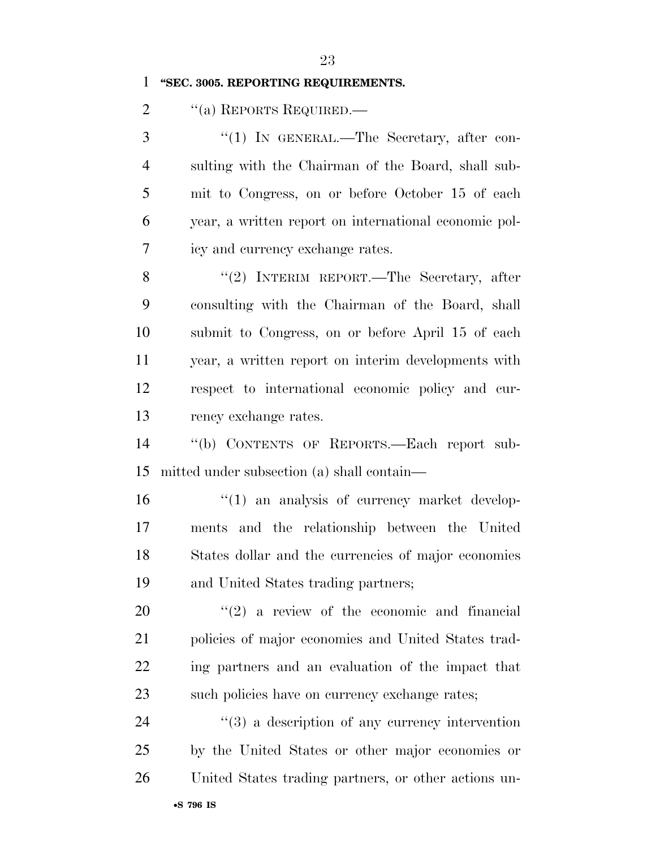#### **''SEC. 3005. REPORTING REQUIREMENTS.**

2 "(a) REPORTS REQUIRED.—

3 "(1) IN GENERAL.—The Secretary, after con- sulting with the Chairman of the Board, shall sub- mit to Congress, on or before October 15 of each year, a written report on international economic pol-icy and currency exchange rates.

8 "(2) INTERIM REPORT.—The Secretary, after consulting with the Chairman of the Board, shall submit to Congress, on or before April 15 of each year, a written report on interim developments with respect to international economic policy and cur-rency exchange rates.

 ''(b) CONTENTS OF REPORTS.—Each report sub-mitted under subsection (a) shall contain—

 $\frac{1}{2}$  (1) an analysis of currency market develop- ments and the relationship between the United States dollar and the currencies of major economies and United States trading partners;

 ''(2) a review of the economic and financial policies of major economies and United States trad- ing partners and an evaluation of the impact that 23 such policies have on currency exchange rates;

24 ''(3) a description of any currency intervention by the United States or other major economies or United States trading partners, or other actions un-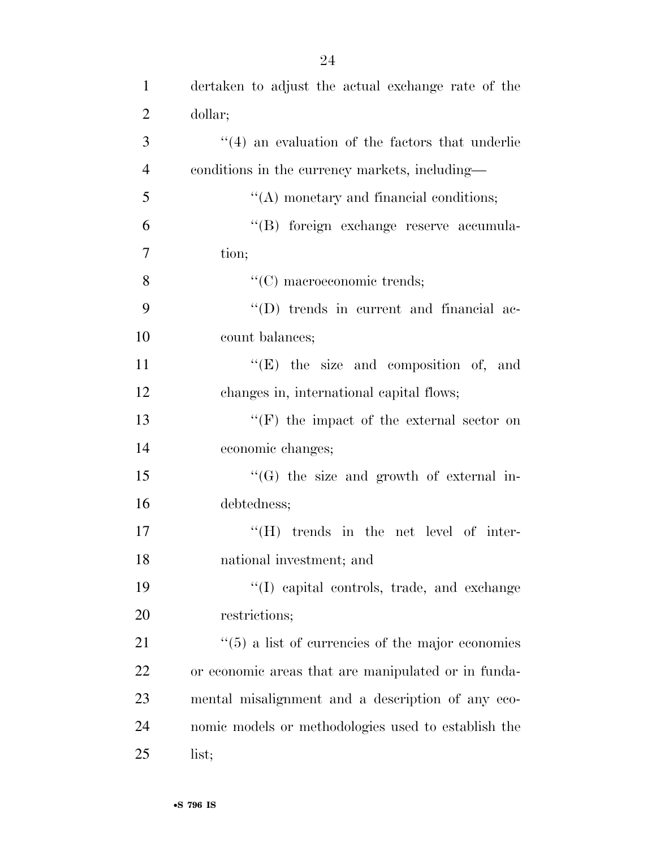| $\mathbf{1}$   | dertaken to adjust the actual exchange rate of the           |
|----------------|--------------------------------------------------------------|
| $\overline{2}$ | dollar;                                                      |
| 3              | $\cdot$ (4) an evaluation of the factors that underlie       |
| $\overline{4}$ | conditions in the currency markets, including—               |
| 5              | $\lq\lq$ monetary and financial conditions;                  |
| 6              | "(B) foreign exchange reserve accumula-                      |
| $\overline{7}$ | tion;                                                        |
| 8              | $"$ (C) macroeconomic trends;                                |
| 9              | $\lq\lq$ trends in current and financial ac-                 |
| 10             | count balances;                                              |
| 11             | $\lq\lq(E)$ the size and composition of, and                 |
| 12             | changes in, international capital flows;                     |
| 13             | $\lq\lq(F)$ the impact of the external sector on             |
| 14             | economic changes;                                            |
| 15             | $\lq\lq(G)$ the size and growth of external in-              |
| 16             | debtedness;                                                  |
| 17             | $\lq\lq (H)$ trends in the net level of inter-               |
| 18             | national investment; and                                     |
| 19             | "(I) capital controls, trade, and exchange                   |
| 20             | restrictions;                                                |
| 21             | $\cdot\cdot$ (5) a list of currencies of the major economies |
| <u>22</u>      | or economic areas that are manipulated or in funda-          |
| 23             | mental misalignment and a description of any eco-            |
| 24             | nomic models or methodologies used to establish the          |
| 25             | list;                                                        |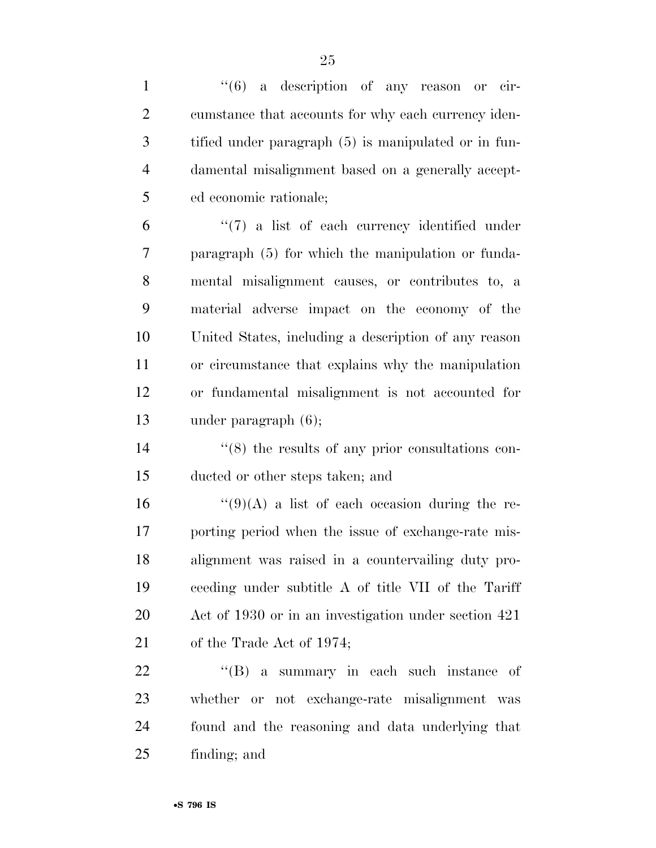| $\mathbf{1}$   | $\cdot\cdot\cdot$ (6) a description of any reason or cir-    |
|----------------|--------------------------------------------------------------|
| $\overline{2}$ | cumstance that accounts for why each currency iden-          |
| 3              | tified under paragraph (5) is manipulated or in fun-         |
| $\overline{4}$ | damental misalignment based on a generally accept-           |
| 5              | ed economic rationale;                                       |
| 6              | $\lq(7)$ a list of each currency identified under            |
| $\overline{7}$ | paragraph (5) for which the manipulation or funda-           |
| 8              | mental misalignment causes, or contributes to, a             |
| 9              | material adverse impact on the economy of the                |
| 10             | United States, including a description of any reason         |
| 11             | or circumstance that explains why the manipulation           |
| 12             | or fundamental misalignment is not accounted for             |
| 13             | under paragraph $(6)$ ;                                      |
| 14             | $\cdot\cdot$ (8) the results of any prior consultations con- |
| 15             | ducted or other steps taken; and                             |
| 16             | $\lq(9)(A)$ a list of each occasion during the re-           |
| 17             | porting period when the issue of exchange-rate mis-          |
| 18             | alignment was raised in a countervailing duty pro-           |
| 19             | ceeding under subtitle A of title VII of the Tariff          |
| 20             | Act of 1930 or in an investigation under section 421         |
| 21             | of the Trade Act of 1974;                                    |
| 22             | $\lq\lq (B)$ a summary in each such instance of              |
| 23             | whether or not exchange-rate misalignment was                |
| 24             | found and the reasoning and data underlying that             |
| 25             | finding; and                                                 |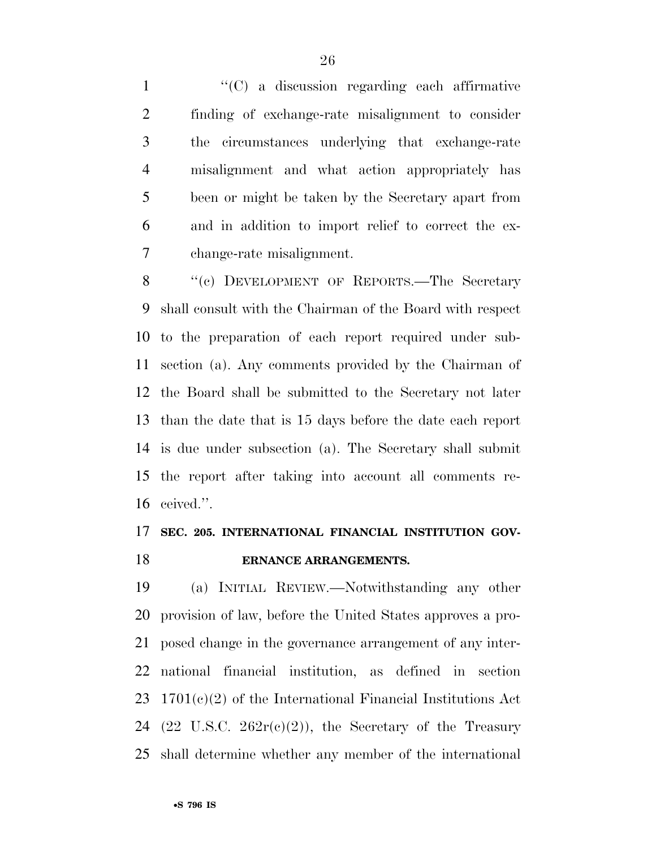''(C) a discussion regarding each affirmative finding of exchange-rate misalignment to consider the circumstances underlying that exchange-rate misalignment and what action appropriately has been or might be taken by the Secretary apart from and in addition to import relief to correct the ex-change-rate misalignment.

8 "(c) DEVELOPMENT OF REPORTS.—The Secretary shall consult with the Chairman of the Board with respect to the preparation of each report required under sub- section (a). Any comments provided by the Chairman of the Board shall be submitted to the Secretary not later than the date that is 15 days before the date each report is due under subsection (a). The Secretary shall submit the report after taking into account all comments re-ceived.''.

### **SEC. 205. INTERNATIONAL FINANCIAL INSTITUTION GOV-ERNANCE ARRANGEMENTS.**

 (a) INITIAL REVIEW.—Notwithstanding any other provision of law, before the United States approves a pro- posed change in the governance arrangement of any inter- national financial institution, as defined in section 1701(c)(2) of the International Financial Institutions Act 24 (22 U.S.C.  $262r(c)(2)$ ), the Secretary of the Treasury shall determine whether any member of the international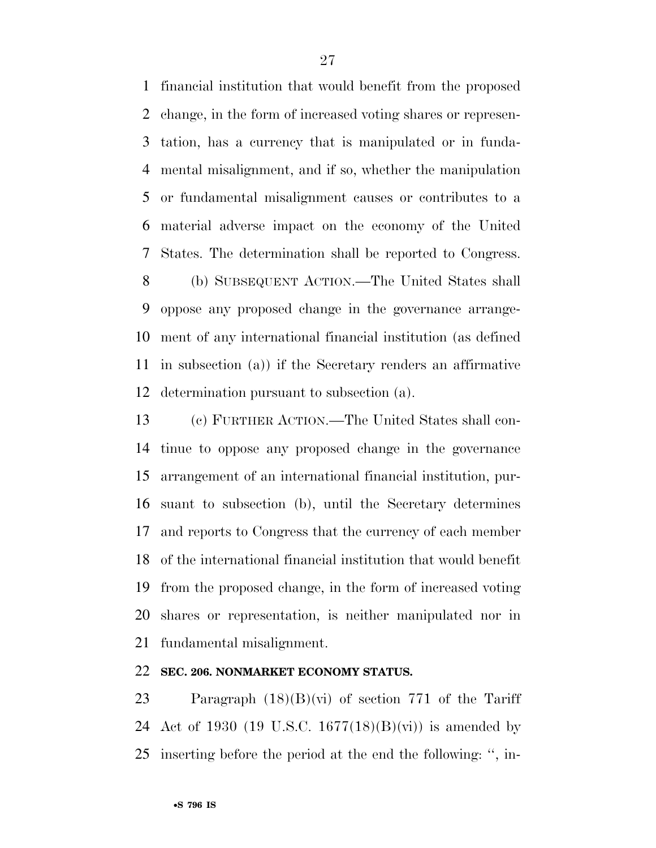financial institution that would benefit from the proposed change, in the form of increased voting shares or represen- tation, has a currency that is manipulated or in funda- mental misalignment, and if so, whether the manipulation or fundamental misalignment causes or contributes to a material adverse impact on the economy of the United States. The determination shall be reported to Congress.

 (b) SUBSEQUENT ACTION.—The United States shall oppose any proposed change in the governance arrange- ment of any international financial institution (as defined in subsection (a)) if the Secretary renders an affirmative determination pursuant to subsection (a).

 (c) FURTHER ACTION.—The United States shall con- tinue to oppose any proposed change in the governance arrangement of an international financial institution, pur- suant to subsection (b), until the Secretary determines and reports to Congress that the currency of each member of the international financial institution that would benefit from the proposed change, in the form of increased voting shares or representation, is neither manipulated nor in fundamental misalignment.

#### **SEC. 206. NONMARKET ECONOMY STATUS.**

 Paragraph (18)(B)(vi) of section 771 of the Tariff 24 Act of 1930 (19 U.S.C. 1677(18)(B)(vi)) is amended by inserting before the period at the end the following: '', in-